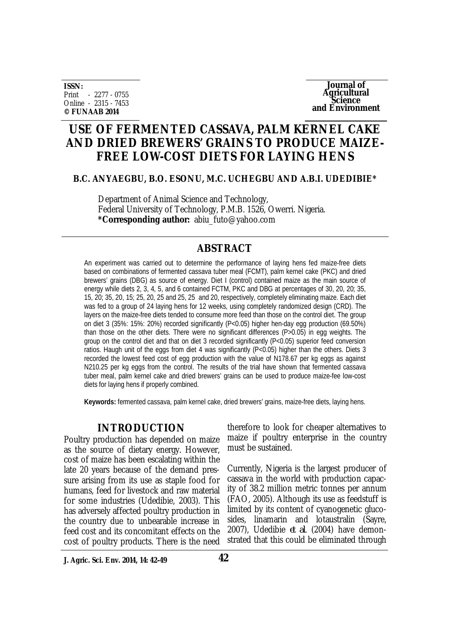**ISSN:** Print - 2277 - 0755 Online - 2315 - 7453 **© FUNAAB 2014**

**Journal of Agricultural Science and Environment**

# **USE OF FERMENTED CASSAVA, PALM KERNEL CAKE AND DRIED BREWERS' GRAINS TO PRODUCE MAIZE-FREE LOW-COST DIETS FOR LAYING HENS**

#### **B.C. ANYAEGBU, B.O. ESONU, M.C. UCHEGBU AND A.B.I. UDEDIBIE\***

Department of Animal Science and Technology, Federal University of Technology, P.M.B. 1526, Owerri. Nigeria. **\*Corresponding author:** abiu\_futo@yahoo.com

# **ABSTRACT**

An experiment was carried out to determine the performance of laying hens fed maize-free diets based on combinations of fermented cassava tuber meal (FCMT), palm kernel cake (PKC) and dried brewers' grains (DBG) as source of energy. Diet I (control) contained maize as the main source of energy while diets 2, 3, 4, 5, and 6 contained FCTM, PKC and DBG at percentages of 30, 20, 20; 35, 15, 20; 35, 20, 15; 25, 20, 25 and 25, 25 and 20, respectively, completely eliminating maize. Each diet was fed to a group of 24 laying hens for 12 weeks, using completely randomized design (CRD). The layers on the maize-free diets tended to consume more feed than those on the control diet. The group on diet 3 (35%: 15%: 20%) recorded significantly (P<0.05) higher hen-day egg production (69.50%) than those on the other diets. There were no significant differences (P>0.05) in egg weights. The group on the control diet and that on diet 3 recorded significantly (P<0.05) superior feed conversion ratios. Haugh unit of the eggs from diet 4 was significantly (P<0.05) higher than the others. Diets 3 recorded the lowest feed cost of egg production with the value of N178.67 per kg eggs as against N210.25 per kg eggs from the control. The results of the trial have shown that fermented cassava tuber meal, palm kernel cake and dried brewers' grains can be used to produce maize-fee low-cost diets for laying hens if properly combined.

**Keywords:** fermented cassava, palm kernel cake, dried brewers' grains, maize-free diets, laying hens.

#### **INTRODUCTION**

Poultry production has depended on maize as the source of dietary energy. However, cost of maize has been escalating within the late 20 years because of the demand pressure arising from its use as staple food for humans, feed for livestock and raw material for some industries (Udedibie, 2003). This has adversely affected poultry production in the country due to unbearable increase in feed cost and its concomitant effects on the cost of poultry products. There is the need

therefore to look for cheaper alternatives to maize if poultry enterprise in the country must be sustained.

Currently, Nigeria is the largest producer of cassava in the world with production capacity of 38.2 million metric tonnes per annum (FAO, 2005). Although its use as feedstuff is limited by its content of cyanogenetic glucosides, linamarin and lotaustralin (Sayre, 2007), Udedibie *et al*. (2004) have demonstrated that this could be eliminated through

**J. Agric. Sci. Env. 2014, 14: 42-49**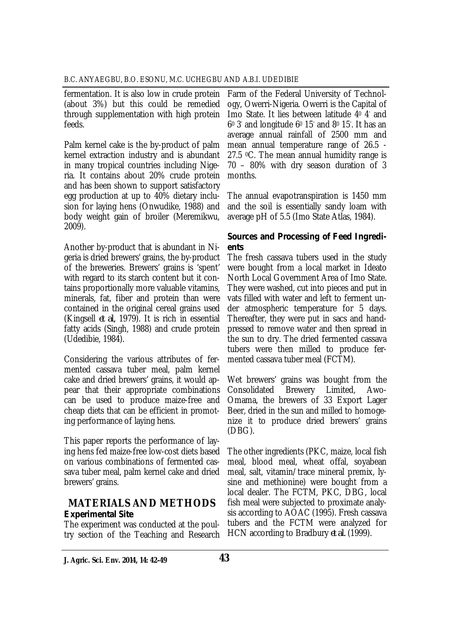fermentation. It is also low in crude protein (about 3%) but this could be remedied through supplementation with high protein feeds.

Palm kernel cake is the by-product of palm kernel extraction industry and is abundant in many tropical countries including Nigeria. It contains about 20% crude protein and has been shown to support satisfactory egg production at up to 40% dietary inclusion for laying hens (Onwudike, 1988) and body weight gain of broiler (Meremikwu, 2009).

Another by-product that is abundant in Nigeria is dried brewers' grains, the by-product of the breweries. Brewers' grains is 'spent' with regard to its starch content but it contains proportionally more valuable vitamins, minerals, fat, fiber and protein than were contained in the original cereal grains used (Kingsell *et al,* 1979). It is rich in essential fatty acids (Singh, 1988) and crude protein (Udedibie, 1984).

Considering the various attributes of fermented cassava tuber meal, palm kernel cake and dried brewers' grains, it would appear that their appropriate combinations can be used to produce maize-free and cheap diets that can be efficient in promoting performance of laying hens.

This paper reports the performance of laying hens fed maize-free low-cost diets based on various combinations of fermented cassava tuber meal, palm kernel cake and dried brewers' grains.

# **MATERIALS AND METHODS**  *Experimental Site*

The experiment was conducted at the poultry section of the Teaching and Research

Farm of the Federal University of Technology, Owerri-Nigeria. Owerri is the Capital of Imo State. It lies between latitude 4<sup>0</sup> 4' and 6<sup>0</sup> 3' and longitude 6<sup>0</sup> 15' and 8<sup>0</sup> 15' . It has an average annual rainfall of 2500 mm and mean annual temperature range of 26.5 - 27.5 °C. The mean annual humidity range is 70 – 80% with dry season duration of 3 months.

The annual evapotranspiration is 1450 mm and the soil is essentially sandy loam with average pH of 5.5 (Imo State Atlas, 1984).

## *Sources and Processing of Feed Ingredients*

The fresh cassava tubers used in the study were bought from a local market in Ideato North Local Government Area of Imo State. They were washed, cut into pieces and put in vats filled with water and left to ferment under atmospheric temperature for 5 days. Thereafter, they were put in sacs and handpressed to remove water and then spread in the sun to dry. The dried fermented cassava tubers were then milled to produce fermented cassava tuber meal (FCTM).

Wet brewers' grains was bought from the Consolidated Brewery Limited, Awo-Omama, the brewers of 33 Export Lager Beer, dried in the sun and milled to homogenize it to produce dried brewers' grains (DBG).

The other ingredients (PKC, maize, local fish meal, blood meal, wheat offal, soyabean meal, salt, vitamin/trace mineral premix, lysine and methionine) were bought from a local dealer. The FCTM, PKC, DBG, local fish meal were subjected to proximate analysis according to AOAC (1995). Fresh cassava tubers and the FCTM were analyzed for HCN according to Bradbury *et al.* (1999).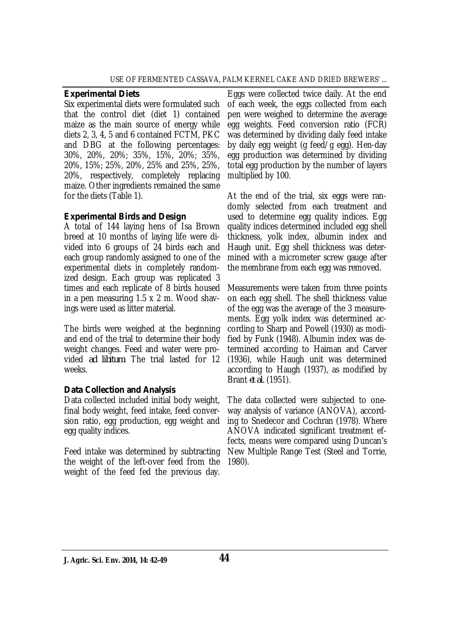#### *Experimental Diets*

Six experimental diets were formulated such that the control diet (diet 1) contained maize as the main source of energy while diets 2, 3, 4, 5 and 6 contained FCTM, PKC and DBG at the following percentages: 30%, 20%, 20%; 35%, 15%, 20%; 35%, 20%, 15%; 25%, 20%, 25% and 25%, 25%, 20%, respectively, completely replacing maize. Other ingredients remained the same for the diets (Table 1).

## *Experimental Birds and Design*

A total of 144 laying hens of Isa Brown breed at 10 months of laying life were divided into 6 groups of 24 birds each and each group randomly assigned to one of the experimental diets in completely randomized design. Each group was replicated 3 times and each replicate of 8 birds housed in a pen measuring 1.5 x 2 m. Wood shavings were used as litter material.

The birds were weighed at the beginning and end of the trial to determine their body weight changes. Feed and water were provided *ad libitum*. The trial lasted for 12 weeks.

### *Data Collection and Analysis*

Data collected included initial body weight, final body weight, feed intake, feed conversion ratio, egg production, egg weight and egg quality indices.

Feed intake was determined by subtracting the weight of the left-over feed from the weight of the feed fed the previous day.

Eggs were collected twice daily. At the end of each week, the eggs collected from each pen were weighed to determine the average egg weights. Feed conversion ratio (FCR) was determined by dividing daily feed intake by daily egg weight (g feed/g egg). Hen-day egg production was determined by dividing total egg production by the number of layers multiplied by 100.

At the end of the trial, six eggs were randomly selected from each treatment and used to determine egg quality indices. Egg quality indices determined included egg shell thickness, yolk index, albumin index and Haugh unit. Egg shell thickness was determined with a micrometer screw gauge after the membrane from each egg was removed.

Measurements were taken from three points on each egg shell. The shell thickness value of the egg was the average of the 3 measurements. Egg yolk index was determined according to Sharp and Powell (1930) as modified by Funk (1948). Albumin index was determined according to Haiman and Carver (1936), while Haugh unit was determined according to Haugh (1937), as modified by Brant *et al.* (1951).

The data collected were subjected to oneway analysis of variance (ANOVA), according to Snedecor and Cochran (1978). Where ANOVA indicated significant treatment effects, means were compared using Duncan's New Multiple Range Test (Steel and Torrie, 1980).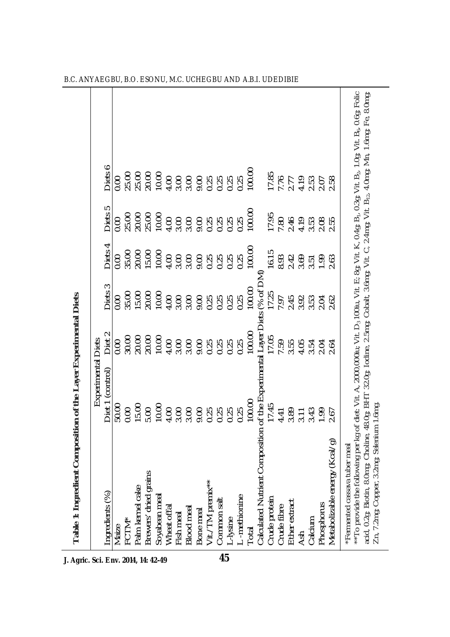| Table 1: Ingredient Composition of the Layer Experimental Diets                                                                                                                                                                                                                           |                                      |                   |                    |                      |                           |                            |  |
|-------------------------------------------------------------------------------------------------------------------------------------------------------------------------------------------------------------------------------------------------------------------------------------------|--------------------------------------|-------------------|--------------------|----------------------|---------------------------|----------------------------|--|
|                                                                                                                                                                                                                                                                                           | Experimental                         | <b>Diets</b>      |                    |                      |                           |                            |  |
| ngredients (%)                                                                                                                                                                                                                                                                            | Diet 1 (control)                     | Diet <sub>2</sub> | Diets <sub>3</sub> | Diets 4              | Diets 5                   | Dieis 6                    |  |
| Maize                                                                                                                                                                                                                                                                                     | 50.00                                | 0.00              | $\frac{8}{2}$      | 0.00                 | 0.00                      | 0.00                       |  |
| FCTM*                                                                                                                                                                                                                                                                                     | 0.00                                 | 30.00             | 35.00              | 35.00                |                           | 25.00                      |  |
| Palm kernel cake                                                                                                                                                                                                                                                                          | 15.00                                | 20.00             | 15.00              | 20.00                | 25.00<br>20.00            | 25.00                      |  |
| Brewers' dried grains                                                                                                                                                                                                                                                                     |                                      | 20.00             | 20.00              | $15.00$<br>$10.00$   | 25.00                     | 20.00                      |  |
| Soyabean meal                                                                                                                                                                                                                                                                             | 5.00<br>10.00                        | 10.00             | 10.00              |                      |                           | 10.00                      |  |
| Wheat offal                                                                                                                                                                                                                                                                               | 4.00                                 | 4.00              | 4.00               | 4.00                 | 4.00                      | 4.00                       |  |
| Fish meal                                                                                                                                                                                                                                                                                 | 3.00                                 | 3.00              | 3.00               | 3.00                 | 3.00                      | 3.00                       |  |
| <b>Blood</b> meal                                                                                                                                                                                                                                                                         | 3.00                                 |                   | 3.00               | 3.00                 |                           |                            |  |
|                                                                                                                                                                                                                                                                                           |                                      |                   | 9.00               | 9.00                 |                           |                            |  |
| Bone meal<br>Vit./TM premix**                                                                                                                                                                                                                                                             | 00<br>00000<br>0000                  | 888888            | 0.25               | 0.25                 |                           | 888888                     |  |
| Common salt                                                                                                                                                                                                                                                                               |                                      |                   | 0.25               | 0.25<br>0.25<br>0.25 |                           |                            |  |
| L-lysine                                                                                                                                                                                                                                                                                  |                                      |                   | 0.25               |                      |                           |                            |  |
|                                                                                                                                                                                                                                                                                           | 0.25                                 | 0.25              | 0.25               |                      | 0.25                      | 0.25                       |  |
| L -methionine<br>Total                                                                                                                                                                                                                                                                    | 100.00                               | 100.00            | 100.00             | 100.00               | 100.00                    | 100.00                     |  |
| Calculated Nutrient Composition of the Experimental Layer Diets (% of DM)                                                                                                                                                                                                                 |                                      |                   |                    |                      |                           |                            |  |
| Crude protein                                                                                                                                                                                                                                                                             | 17.45                                | 17.05             | 17.25              | 16.15                | 17.95                     | 17.85                      |  |
| Crude fibre                                                                                                                                                                                                                                                                               | 4.41                                 | 7.55<br>3.55      | 7.97               | 8.93                 | 7.80                      | 7.76                       |  |
| Ether extract                                                                                                                                                                                                                                                                             | $3.89$<br>$3.43$<br>$4.39$<br>$1.49$ |                   | 2.45<br>3.53       | 2.42                 | $246$<br>$4.53$<br>$3.53$ | $2.77$<br>$4.79$<br>$2.53$ |  |
| Ash                                                                                                                                                                                                                                                                                       |                                      | 4.05              |                    |                      |                           |                            |  |
| Calcium                                                                                                                                                                                                                                                                                   |                                      | 3.54              |                    | 3.51                 |                           |                            |  |
| Phosphorus                                                                                                                                                                                                                                                                                |                                      | 2.04              | 2.04               | 1.99                 | 2.08                      | 2.07                       |  |
| Metabolizable energy (Kcal/g)                                                                                                                                                                                                                                                             | 2.67                                 | 2.64              | 2.62               | 2.63                 | 2.55                      | 2.58                       |  |
| *Fermented cassava tuber meal                                                                                                                                                                                                                                                             |                                      |                   |                    |                      |                           |                            |  |
| **To provide the following per kg of diet: Vit. A, 2000,000iu; Vit. D3 100iu, Vit. E; 8g; Vit. K, 0.4g; B1, 0.3g; Vit. B2, 1.0g; Vit. B <sub>6</sub> , 0.6g; Folic<br>acid, 0.2g; Biotin, 8.0mg; Choline, 48.0g; BHT 32.0g; Iodine, 2.5mg; C<br>Zn, 7.2mg; Copper, 3.2mg; Selenium 1.6mg. |                                      |                   |                    |                      |                           |                            |  |
|                                                                                                                                                                                                                                                                                           |                                      |                   |                    |                      |                           |                            |  |

B.C. ANYAEGBU, B.O. ESONU, M.C. UCHEGBU AND A.B.I. UDEDIBIE

**J. Agric. Sci. Env. 2014, 14: 42-49**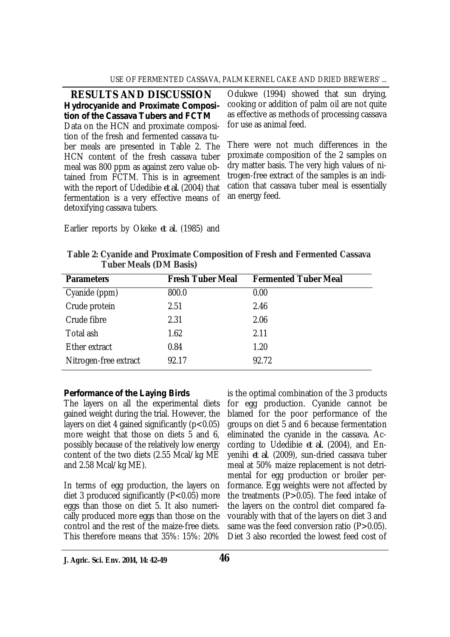#### USE OF FERMENTED CASSAVA, PALM KERNEL CAKE AND DRIED BREWERS' ...

**RESULTS AND DISCUSSION** *Hydrocyanide and Proximate Composition of the Cassava Tubers and FCTM* Data on the HCN and proximate composition of the fresh and fermented cassava tuber meals are presented in Table 2. The HCN content of the fresh cassava tuber meal was 800 ppm as against zero value obtained from FCTM. This is in agreement with the report of Udedibie *et al.* (2004) that fermentation is a very effective means of detoxifying cassava tubers.

Odukwe (1994) showed that sun drying, cooking or addition of palm oil are not quite as effective as methods of processing cassava for use as animal feed.

There were not much differences in the proximate composition of the 2 samples on dry matter basis. The very high values of nitrogen-free extract of the samples is an indication that cassava tuber meal is essentially an energy feed.

Earlier reports by Okeke *et al.* (1985) and

| Table 2: Cyanide and Proximate Composition of Fresh and Fermented Cassava |  |
|---------------------------------------------------------------------------|--|
| <b>Tuber Meals (DM Basis)</b>                                             |  |

| <b>Parameters</b>     | <b>Fresh Tuber Meal</b> | <b>Fermented Tuber Meal</b> |
|-----------------------|-------------------------|-----------------------------|
| Cyanide (ppm)         | 800.0                   | 0.00                        |
| Crude protein         | 2.51                    | 2.46                        |
| Crude fibre           | 2.31                    | 2.06                        |
| Total ash             | 1.62                    | 2.11                        |
| Ether extract         | 0.84                    | 1.20                        |
| Nitrogen-free extract | 92.17                   | 92.72                       |

### *Performance of the Laying Birds*

The layers on all the experimental diets gained weight during the trial. However, the layers on diet 4 gained significantly  $(p<0.05)$ more weight that those on diets 5 and 6, possibly because of the relatively low energy content of the two diets (2.55 Mcal/kg ME and 2.58 Mcal/kg ME).

In terms of egg production, the layers on diet 3 produced significantly  $(P<0.05)$  more eggs than those on diet 5. It also numerically produced more eggs than those on the control and the rest of the maize-free diets. This therefore means that 35%: 15%: 20%

is the optimal combination of the 3 products for egg production. Cyanide cannot be blamed for the poor performance of the groups on diet 5 and 6 because fermentation eliminated the cyanide in the cassava. According to Udedibie *et al.* (2004), and Enyenihi *et al*. (2009), sun-dried cassava tuber meal at 50% maize replacement is not detrimental for egg production or broiler performance. Egg weights were not affected by the treatments (P>0.05). The feed intake of the layers on the control diet compared favourably with that of the layers on diet 3 and same was the feed conversion ratio  $(P>0.05)$ . Diet 3 also recorded the lowest feed cost of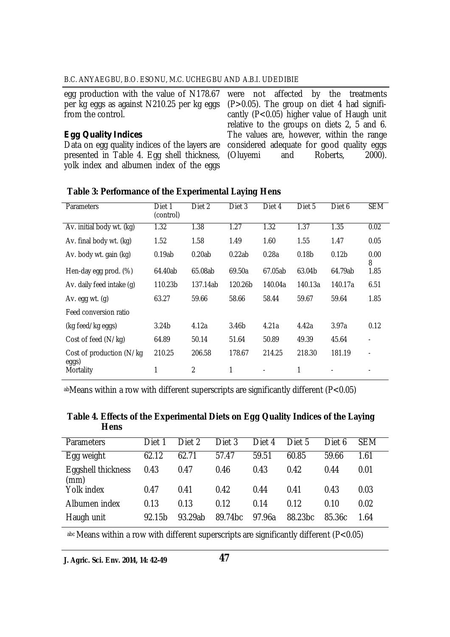#### B.C. ANYAEGBU, B.O. ESONU, M.C. UCHEGBU AND A.B.I. UDEDIBIE

| egg production with the value of N178.67 were not affer         |                     |  |
|-----------------------------------------------------------------|---------------------|--|
| per kg eggs as against N210.25 per kg eggs $(P > 0.05)$ . The g |                     |  |
| from the control.                                               | cantly $(P<0.05)$ l |  |

#### *Egg Quality Indices*

Data on egg quality indices of the layers are presented in Table 4. Egg shell thickness, yolk index and albumen index of the eggs

cted by the treatments roup on diet 4 had signifihigher value of Haugh unit relative to the groups on diets 2, 5 and 6. The values are, however, within the range considered adequate for good quality eggs<br>(Oluvemi and Roberts, 2000). (Oluyemi

| <b>Parameters</b>                  | Diet 1<br>(control) | Diet 2         | Diet 3            | Diet 4  | Diet 5            | Diet 6            | <b>SEM</b>               |
|------------------------------------|---------------------|----------------|-------------------|---------|-------------------|-------------------|--------------------------|
| Av. initial body wt. (kg)          | 1.32                | 1.38           | 1.27              | 1.32    | 1.37              | 1.35              | 0.02                     |
| Av. final body wt. (kg)            | 1.52                | 1.58           | 1.49              | 1.60    | 1.55              | 1.47              | 0.05                     |
| Av. body wt. gain (kg)             | 0.19ab              | 0.20ab         | 0.22ab            | 0.28a   | 0.18 <sub>b</sub> | 0.12 <sub>b</sub> | 0.00<br>8                |
| Hen-day egg prod. (%)              | 64.40ab             | 65.08ab        | 69.50a            | 67.05ab | 63.04b            | 64.79ab           | 1.85                     |
| Av. daily feed intake (g)          | 110.23b             | 137.14ab       | 120.26b           | 140.04a | 140.13a           | 140.17a           | 6.51                     |
| Av. egg wt. $(q)$                  | 63.27               | 59.66          | 58.66             | 58.44   | 59.67             | 59.64             | 1.85                     |
| Feed conversion ratio              |                     |                |                   |         |                   |                   |                          |
| (kg feed/kg eggs)                  | 3.24 <sub>b</sub>   | 4.12a          | 3.46 <sub>b</sub> | 4.21a   | 4.42a             | 3.97a             | 0.12                     |
| Cost of feed (N/kg)                | 64.89               | 50.14          | 51.64             | 50.89   | 49.39             | 45.64             | $\overline{\phantom{a}}$ |
| Cost of production (N/kg)<br>eggs) | 210.25              | 206.58         | 178.67            | 214.25  | 218.30            | 181.19            | $\overline{\phantom{a}}$ |
| Mortality                          | 1                   | $\overline{2}$ | 1                 |         | 1                 |                   |                          |

#### **Table 3: Performance of the Experimental Laying Hens**

abMeans within a row with different superscripts are significantly different (P<0.05)

| Table 4. Effects of the Experimental Diets on Egg Quality Indices of the Laying |  |  |  |
|---------------------------------------------------------------------------------|--|--|--|
| <b>Hens</b>                                                                     |  |  |  |

| Parameters                 | Diet 1 | Diet 2  | Diet 3  | Diet 4 | Diet 5  | Diet 6 | <b>SEM</b> |
|----------------------------|--------|---------|---------|--------|---------|--------|------------|
| Egg weight                 | 62.12  | 62.71   | 57.47   | 59.51  | 60.85   | 59.66  | 1.61       |
| Eggshell thickness<br>(mm) | 0.43   | 0.47    | 0.46    | 0.43   | 0.42    | 0.44   | 0.01       |
| Yolk index                 | 0.47   | 0.41    | 0.42    | 0.44   | 0.41    | 0.43   | 0.03       |
| Albumen index              | 0.13   | 0.13    | 0.12    | 0.14   | 0.12    | 0.10   | 0.02       |
| Haugh unit                 | 92.15b | 93.29ab | 89.74bc | 97.96a | 88.23bc | 85.36c | 1.64       |

abc Means within a row with different superscripts are significantly different (P<0.05)

**J. Agric. Sci. Env. 2014, 14: 42-49**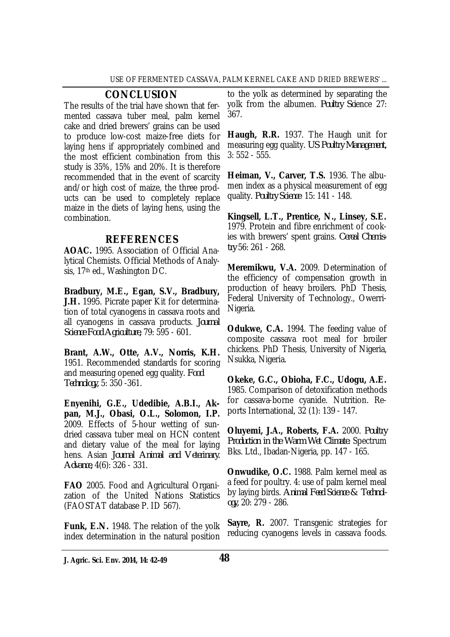## **CONCLUSION**

The results of the trial have shown that fermented cassava tuber meal, palm kernel cake and dried brewers' grains can be used to produce low-cost maize-free diets for laying hens if appropriately combined and the most efficient combination from this study is 35%, 15% and 20%. It is therefore recommended that in the event of scarcity and/or high cost of maize, the three products can be used to completely replace maize in the diets of laying hens, using the combination.

# **REFERENCES**

**AOAC.** 1995. Association of Official Analytical Chemists. Official Methods of Analysis, 17<sup>th</sup> ed., Washington DC.

**Bradbury, M.E., Egan, S.V., Bradbury, J.H.** 1995. Picrate paper Kit for determination of total cyanogens in cassava roots and all cyanogens in cassava products. *Journal Science Food Agriculture,* 79: 595 - 601.

**Brant, A.W., Otte, A.V., Norris, K.H.**  1951. Recommended standards for scoring and measuring opened egg quality. *Food Technology,* 5: 350 -361.

**Enyenihi, G.E., Udedibie, A.B.I., Akpan, M.J., Obasi, O.L., Solomon, I.P.**  2009. Effects of 5-hour wetting of sundried cassava tuber meal on HCN content and dietary value of the meal for laying hens. Asian *Journal Animal and Veterinary. Advance,* 4(6): 326 - 331.

**FAO** 2005. Food and Agricultural Organization of the United Nations Statistics (FAOSTAT database P. ID 567).

**Funk, E.N.** 1948. The relation of the yolk index determination in the natural position to the yolk as determined by separating the yolk from the albumen. *Poultry Sci*ence 27: 367.

**Haugh, R.R.** 1937. The Haugh unit for measuring egg quality. *US Poultry Management,* 3: 552 - 555.

**Heiman, V., Carver, T.S.** 1936. The albumen index as a physical measurement of egg quality. *Poultry Science* 15: 141 - 148.

**Kingsell, L.T., Prentice, N., Linsey, S.E.**  1979. Protein and fibre enrichment of cookies with brewers' spent grains. *Cereal Chemistry* 56: 261 - 268.

**Meremikwu, V.A.** 2009. Determination of the efficiency of compensation growth in production of heavy broilers. PhD Thesis, Federal University of Technology., Owerri-Nigeria.

**Odukwe, C.A.** 1994. The feeding value of composite cassava root meal for broiler chickens. PhD Thesis, University of Nigeria, Nsukka, Nigeria.

**Okeke, G.C., Obioha, F.C., Udogu, A.E.**  1985. Comparison of detoxification methods for cassava-borne cyanide. Nutrition. Reports International, 32 (1): 139 - 147.

**Oluyemi, J.A., Roberts, F.A.** 2000. *Poultry Production in the Warm Wet Climate.* Spectrum Bks. Ltd., Ibadan-Nigeria, pp. 147 - 165.

**Onwudike, O.C.** 1988. Palm kernel meal as a feed for poultry. 4: use of palm kernel meal by laying birds. *Animal Feed Science & Technology,* 20: 279 - 286.

**Sayre, R.** 2007. Transgenic strategies for reducing cyanogens levels in cassava foods.

**J. Agric. Sci. Env. 2014, 14: 42-49 48**